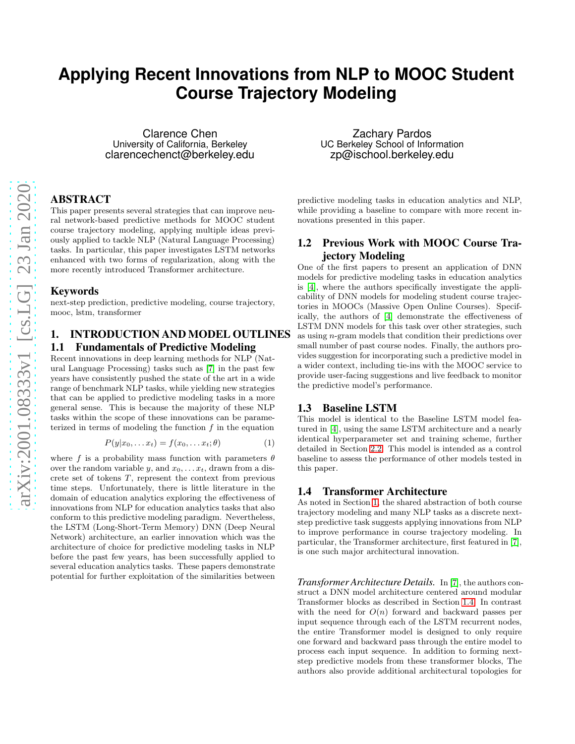# **Applying Recent Innovations from NLP to MOOC Student Course Trajectory Modeling**

Clarence Chen University of California, Berkeley clarencechenct@berkeley.edu

## ABSTRACT

This paper presents several strategies that can improve neural network-based predictive methods for MOOC student course trajectory modeling, applying multiple ideas previously applied to tackle NLP (Natural Language Processing) tasks. In particular, this paper investigates LSTM networks enhanced with two forms of regularization, along with the more recently introduced Transformer architecture.

#### Keywords

next-step prediction, predictive modeling, course trajectory, mooc, lstm, transformer

## <span id="page-0-0"></span>1. INTRODUCTION AND MODEL OUTLINES 1.1 Fundamentals of Predictive Modeling

Recent innovations in deep learning methods for NLP (Natural Language Processing) tasks such as [\[7\]](#page-4-0) in the past few years have consistently pushed the state of the art in a wide range of benchmark NLP tasks, while yielding new strategies that can be applied to predictive modeling tasks in a more general sense. This is because the majority of these NLP tasks within the scope of these innovations can be parameterized in terms of modeling the function  $f$  in the equation

$$
P(y|x_0, \dots x_t) = f(x_0, \dots x_t; \theta)
$$
\n<sup>(1)</sup>

where f is a probability mass function with parameters  $\theta$ over the random variable y, and  $x_0, \ldots, x_t$ , drawn from a discrete set of tokens  $T$ , represent the context from previous time steps. Unfortunately, there is little literature in the domain of education analytics exploring the effectiveness of innovations from NLP for education analytics tasks that also conform to this predictive modeling paradigm. Nevertheless, the LSTM (Long-Short-Term Memory) DNN (Deep Neural Network) architecture, an earlier innovation which was the architecture of choice for predictive modeling tasks in NLP before the past few years, has been successfully applied to several education analytics tasks. These papers demonstrate potential for further exploitation of the similarities between

Zachary Pardos UC Berkeley School of Information zp@ischool.berkeley.edu

predictive modeling tasks in education analytics and NLP, while providing a baseline to compare with more recent innovations presented in this paper.

## 1.2 Previous Work with MOOC Course Trajectory Modeling

One of the first papers to present an application of DNN models for predictive modeling tasks in education analytics is [\[4\]](#page-4-1), where the authors specifically investigate the applicability of DNN models for modeling student course trajectories in MOOCs (Massive Open Online Courses). Specifically, the authors of [\[4\]](#page-4-1) demonstrate the effectiveness of LSTM DNN models for this task over other strategies, such as using n-gram models that condition their predictions over small number of past course nodes. Finally, the authors provides suggestion for incorporating such a predictive model in a wider context, including tie-ins with the MOOC service to provide user-facing suggestions and live feedback to monitor the predictive model's performance.

#### 1.3 Baseline LSTM

This model is identical to the Baseline LSTM model featured in [\[4\]](#page-4-1), using the same LSTM architecture and a nearly identical hyperparameter set and training scheme, further detailed in Section [2.2.](#page-2-0) This model is intended as a control baseline to assess the performance of other models tested in this paper.

#### <span id="page-0-1"></span>1.4 Transformer Architecture

As noted in Section [1,](#page-0-0) the shared abstraction of both course trajectory modeling and many NLP tasks as a discrete nextstep predictive task suggests applying innovations from NLP to improve performance in course trajectory modeling. In particular, the Transformer architecture, first featured in [\[7\]](#page-4-0), is one such major architectural innovation.

*Transformer Architecture Details.* In [\[7\]](#page-4-0), the authors construct a DNN model architecture centered around modular Transformer blocks as described in Section [1.4.](#page-1-0) In contrast with the need for  $O(n)$  forward and backward passes per input sequence through each of the LSTM recurrent nodes, the entire Transformer model is designed to only require one forward and backward pass through the entire model to process each input sequence. In addition to forming nextstep predictive models from these transformer blocks, The authors also provide additional architectural topologies for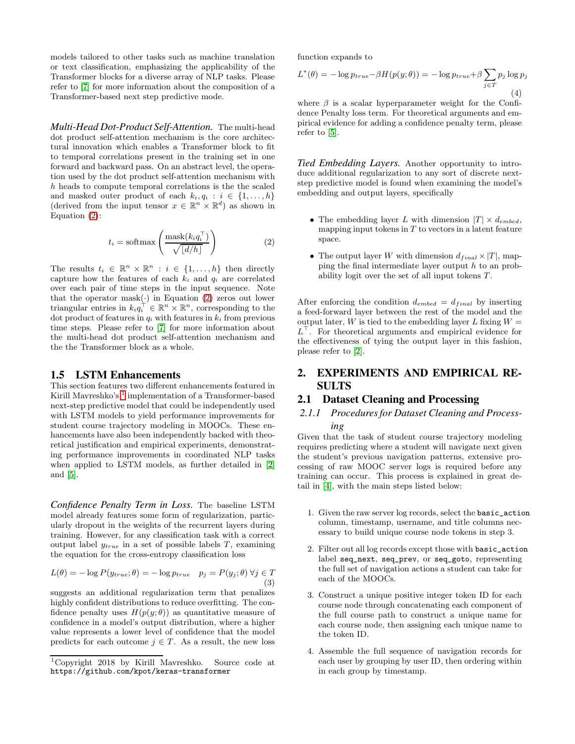models tailored to other tasks such as machine translation or text classification, emphasizing the applicability of the Transformer blocks for a diverse array of NLP tasks. Please refer to [\[7\]](#page-4-0) for more information about the composition of a Transformer-based next step predictive mode.

<span id="page-1-0"></span>*Multi-Head Dot-Product Self-Attention.* The multi-head dot product self-attention mechanism is the core architectural innovation which enables a Transformer block to fit to temporal correlations present in the training set in one forward and backward pass. On an abstract level, the operation used by the dot product self-attention mechanism with h heads to compute temporal correlations is the the scaled and masked outer product of each  $k_i, q_i : i \in \{1, ..., h\}$ (derived from the input tensor  $x \in \mathbb{R}^n \times \mathbb{R}^d$ ) as shown in Equation [\(2\)](#page-1-1):

$$
t_i = \text{softmax}\left(\frac{\text{mask}(k_i q_i^{\top})}{\sqrt{\lfloor d/h \rfloor}}\right)
$$
 (2)

The results  $t_i \in \mathbb{R}^n \times \mathbb{R}^n : i \in \{1, ..., h\}$  then directly capture how the features of each  $k_i$  and  $q_i$  are correlated over each pair of time steps in the input sequence. Note that the operator mask( $\cdot$ ) in Equation [\(2\)](#page-1-1) zeros out lower triangular entries in  $k_i q_i^{\dagger} \in \mathbb{R}^n \times \mathbb{R}^n$ , corresponding to the dot product of features in  $q_i$  with features in  $k_i$  from previous time steps. Please refer to [\[7\]](#page-4-0) for more information about the multi-head dot product self-attention mechanism and the the Transformer block as a whole.

## 1.5 LSTM Enhancements

This section features two different enhancements featured in Kirill Mavreshko's <sup>[1](#page-1-2)</sup> implementation of a Transformer-based next-step predictive model that could be independently used with LSTM models to yield performance improvements for student course trajectory modeling in MOOCs. These enhancements have also been independently backed with theoretical justification and empirical experiments, demonstrating performance improvements in coordinated NLP tasks when applied to LSTM models, as further detailed in [\[2\]](#page-3-0) and [\[5\]](#page-4-2).

<span id="page-1-5"></span>*Confidence Penalty Term in Loss.* The baseline LSTM model already features some form of regularization, particularly dropout in the weights of the recurrent layers during training. However, for any classification task with a correct output label  $y_{true}$  in a set of possible labels T, examining the equation for the cross-entropy classification loss

$$
L(\theta) = -\log P(y_{true}; \theta) = -\log p_{true} \quad p_j = P(y_j; \theta) \,\forall j \in T
$$
\n(3)

suggests an additional regularization term that penalizes highly confident distributions to reduce overfitting. The confidence penalty uses  $H(p(y; \theta))$  as quantitative measure of confidence in a model's output distribution, where a higher value represents a lower level of confidence that the model predicts for each outcome  $j \in T$ . As a result, the new loss

function expands to

$$
L^*(\theta) = -\log p_{true} - \beta H(p(y; \theta)) = -\log p_{true} + \beta \sum_{j \in T} p_j \log p_j
$$
\n(4)

where  $\beta$  is a scalar hyperparameter weight for the Confidence Penalty loss term. For theoretical arguments and empirical evidence for adding a confidence penalty term, please refer to [\[5\]](#page-4-2).

<span id="page-1-4"></span>*Tied Embedding Layers.* Another opportunity to introduce additional regularization to any sort of discrete nextstep predictive model is found when examining the model's embedding and output layers, specifically

- The embedding layer L with dimension  $|T| \times d_{embed}$ , mapping input tokens in  $T$  to vectors in a latent feature space.
- <span id="page-1-1"></span>• The output layer W with dimension  $d_{final} \times |T|$ , mapping the final intermediate layer output h to an probability logit over the set of all input tokens  $T$ .

After enforcing the condition  $d_{embed} = d_{final}$  by inserting a feed-forward layer between the rest of the model and the output later, W is tied to the embedding layer L fixing  $W =$  $L^{\top}$ . For theoretical arguments and empirical evidence for the effectiveness of tying the output layer in this fashion, please refer to [\[2\]](#page-3-0).

# 2. EXPERIMENTS AND EMPIRICAL RE-SULTS

#### <span id="page-1-3"></span>2.1 Dataset Cleaning and Processing

#### *2.1.1 Procedures for Dataset Cleaning and Processing*

Given that the task of student course trajectory modeling requires predicting where a student will navigate next given the student's previous navigation patterns, extensive processing of raw MOOC server logs is required before any training can occur. This process is explained in great detail in [\[4\]](#page-4-1), with the main steps listed below:

- 1. Given the raw server log records, select the basic\_action column, timestamp, username, and title columns necessary to build unique course node tokens in step 3.
- 2. Filter out all log records except those with basic\_action label seq\_next, seq\_prev, or seq\_goto, representing the full set of navigation actions a student can take for each of the MOOCs.
- 3. Construct a unique positive integer token ID for each course node through concatenating each component of the full course path to construct a unique name for each course node, then assigning each unique name to the token ID.
- 4. Assemble the full sequence of navigation records for each user by grouping by user ID, then ordering within in each group by timestamp.

<span id="page-1-2"></span><sup>1</sup>Copyright 2018 by Kirill Mavreshko. Source code at https://github.com/kpot/keras-transformer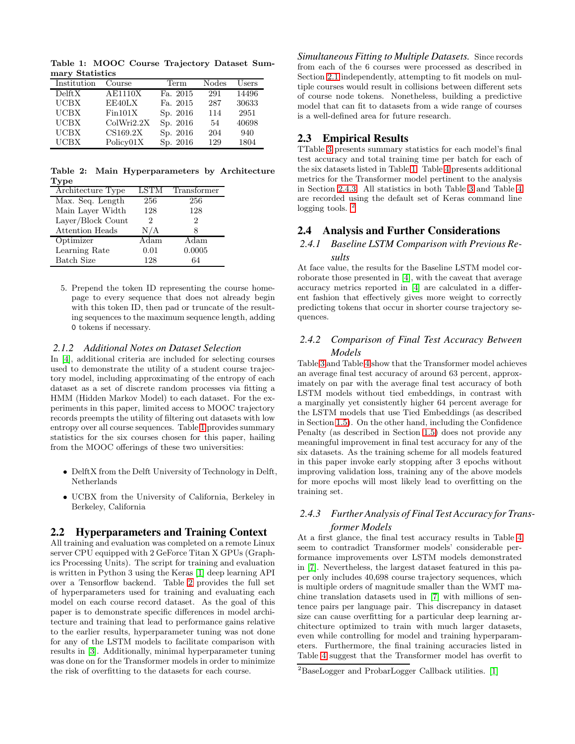<span id="page-2-1"></span>Table 1: MOOC Course Trajectory Dataset Summary Statistics

| Institution | Course         | Term     | Nodes | $_{\rm Users}$ |
|-------------|----------------|----------|-------|----------------|
| Delta X     | <b>AE1110X</b> | Fa. 2015 | 291   | 14496          |
| <b>UCBX</b> | EE40LX         | Fa. 2015 | 287   | 30633          |
| <b>UCBX</b> | Fin101X        | Sp. 2016 | 114   | 2951           |
| <b>UCBX</b> | ColWri2.2X     | Sp. 2016 | 54    | 40698          |
| <b>UCBX</b> | CS169.2X       | Sp. 2016 | 204   | 940            |
| <b>UCBX</b> | Policv01X      | Sp. 2016 | 129   | 1804           |

<span id="page-2-2"></span>Table 2: Main Hyperparameters by Architecture Type

| Architecture Type      | <b>LSTM</b> | Transformer |
|------------------------|-------------|-------------|
| Max. Seq. Length       | 256         | 256         |
| Main Layer Width       | 128         | 128         |
| Layer/Block Count      | 2           | 2           |
| <b>Attention Heads</b> | N/A         |             |
| Optimizer              | Adam        | Adam        |
| Learning Rate          | 0.01        | 0.0005      |
| Batch Size             | 128         | 64          |

5. Prepend the token ID representing the course homepage to every sequence that does not already begin with this token ID, then pad or truncate of the resulting sequences to the maximum sequence length, adding 0 tokens if necessary.

#### *2.1.2 Additional Notes on Dataset Selection*

In [\[4\]](#page-4-1), additional criteria are included for selecting courses used to demonstrate the utility of a student course trajectory model, including approximating of the entropy of each dataset as a set of discrete random processes via fitting a HMM (Hidden Markov Model) to each dataset. For the experiments in this paper, limited access to MOOC trajectory records preempts the utility of filtering out datasets with low entropy over all course sequences. Table [1](#page-2-1) provides summary statistics for the six courses chosen for this paper, hailing from the MOOC offerings of these two universities:

- DelftX from the Delft University of Technology in Delft, Netherlands
- UCBX from the University of California, Berkeley in Berkeley, California

#### <span id="page-2-0"></span>2.2 Hyperparameters and Training Context

All training and evaluation was completed on a remote Linux server CPU equipped with 2 GeForce Titan X GPUs (Graphics Processing Units). The script for training and evaluation is written in Python 3 using the Keras [\[1\]](#page-3-1) deep learning API over a Tensorflow backend. Table [2](#page-2-2) provides the full set of hyperparameters used for training and evaluating each model on each course record dataset. As the goal of this paper is to demonstrate specific differences in model architecture and training that lead to performance gains relative to the earlier results, hyperparameter tuning was not done for any of the LSTM models to facilitate comparison with results in [\[3\]](#page-3-2). Additionally, minimal hyperparameter tuning was done on for the Transformer models in order to minimize the risk of overfitting to the datasets for each course.

*Simultaneous Fitting to Multiple Datasets.* Since records from each of the 6 courses were processed as described in Section [2.1](#page-1-3) independently, attempting to fit models on multiple courses would result in collisions between different sets of course node tokens. Nonetheless, building a predictive model that can fit to datasets from a wide range of courses is a well-defined area for future research.

#### 2.3 Empirical Results

TTable [3](#page-3-3) presents summary statistics for each model's final test accuracy and total training time per batch for each of the six datasets listed in Table [1.](#page-2-1) Table [4](#page-3-4) presents additional metrics for the Transformer model pertinent to the analysis in Section [2.4.3.](#page-2-3) All statistics in both Table [3](#page-3-3) and Table [4](#page-3-4) are recorded using the default set of Keras command line logging tools.  $\frac{2}{3}$  $\frac{2}{3}$  $\frac{2}{3}$ 

#### 2.4 Analysis and Further Considerations

## *2.4.1 Baseline LSTM Comparison with Previous Results*

At face value, the results for the Baseline LSTM model corroborate those presented in [\[4\]](#page-4-1), with the caveat that average accuracy metrics reported in [\[4\]](#page-4-1) are calculated in a different fashion that effectively gives more weight to correctly predicting tokens that occur in shorter course trajectory sequences.

## *2.4.2 Comparison of Final Test Accuracy Between Models*

Table [3](#page-3-3) and Table [4](#page-3-4) show that the Transformer model achieves an average final test accuracy of around 63 percent, approximately on par with the average final test accuracy of both LSTM models without tied embeddings, in contrast with a marginally yet consistently higher 64 percent average for the LSTM models that use Tied Embeddings (as described in Section [1.5\)](#page-1-4). On the other hand, including the Confidence Penalty (as described in Section [1.5\)](#page-1-5) does not provide any meaningful improvement in final test accuracy for any of the six datasets. As the training scheme for all models featured in this paper invoke early stopping after 3 epochs without improving validation loss, training any of the above models for more epochs will most likely lead to overfitting on the training set.

## <span id="page-2-3"></span>*2.4.3 Further Analysis of Final Test Accuracy for Transformer Models*

At a first glance, the final test accuracy results in Table [4](#page-3-4) seem to contradict Transformer models' considerable performance improvements over LSTM models demonstrated in [\[7\]](#page-4-0). Nevertheless, the largest dataset featured in this paper only includes 40,698 course trajectory sequences, which is multiple orders of magnitude smaller than the WMT machine translation datasets used in [\[7\]](#page-4-0) with millions of sentence pairs per language pair. This discrepancy in dataset size can cause overfitting for a particular deep learning architecture optimized to train with much larger datasets, even while controlling for model and training hyperparameters. Furthermore, the final training accuracies listed in Table [4](#page-3-4) suggest that the Transformer model has overfit to

<span id="page-2-4"></span><sup>2</sup>BaseLogger and ProbarLogger Callback utilities. [\[1\]](#page-3-1)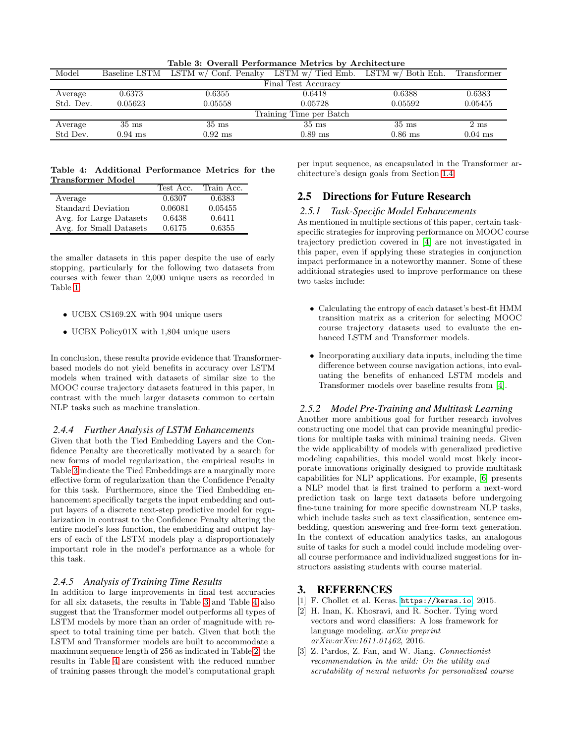| Table 3: Overall Performance Metrics by Architecture |                 |                                     |                                         |                 |                |
|------------------------------------------------------|-----------------|-------------------------------------|-----------------------------------------|-----------------|----------------|
| Model                                                |                 | Baseline LSTM LSTM w/ Conf. Penalty | LSTM $w/$ Tied Emb. LSTM $w/$ Both Enh. |                 | Transformer    |
| Final Test Accuracy                                  |                 |                                     |                                         |                 |                |
| Average                                              | 0.6373          | 0.6355                              | 0.6418                                  | 0.6388          | 0.6383         |
| Std. Dev.                                            | 0.05623         | 0.05558                             | 0.05728                                 | 0.05592         | 0.05455        |
|                                                      |                 |                                     | Training Time per Batch                 |                 |                |
| Average                                              | $35 \text{ ms}$ | $35 \text{ ms}$                     | $35 \text{ ms}$                         | $35 \text{ ms}$ | $2 \text{ ms}$ |
| Std Dev.                                             | $0.94$ ms       | $0.92$ ms                           | $0.89$ ms                               | $0.86$ ms       | $0.04$ ms      |

<span id="page-3-3"></span>Table 3: Overall Performance Metrics by Architecture

<span id="page-3-4"></span>Table 4: Additional Performance Metrics for the Transformer Model

|                           | Test Acc. | Train Acc. |
|---------------------------|-----------|------------|
| Average                   | 0.6307    | 0.6383     |
| <b>Standard Deviation</b> | 0.06081   | 0.05455    |
| Avg. for Large Datasets   | 0.6438    | 0.6411     |
| Avg. for Small Datasets   | 0.6175    | 0.6355     |

the smaller datasets in this paper despite the use of early stopping, particularly for the following two datasets from courses with fewer than 2,000 unique users as recorded in Table [1:](#page-2-1)

- UCBX CS169.2X with 904 unique users
- UCBX Policy01X with 1,804 unique users

In conclusion, these results provide evidence that Transformerbased models do not yield benefits in accuracy over LSTM models when trained with datasets of similar size to the MOOC course trajectory datasets featured in this paper, in contrast with the much larger datasets common to certain NLP tasks such as machine translation.

#### *2.4.4 Further Analysis of LSTM Enhancements*

Given that both the Tied Embedding Layers and the Confidence Penalty are theoretically motivated by a search for new forms of model regularization, the empirical results in Table [3](#page-3-3) indicate the Tied Embeddings are a marginally more effective form of regularization than the Confidence Penalty for this task. Furthermore, since the Tied Embedding enhancement specifically targets the input embedding and output layers of a discrete next-step predictive model for regularization in contrast to the Confidence Penalty altering the entire model's loss function, the embedding and output layers of each of the LSTM models play a disproportionately important role in the model's performance as a whole for this task.

#### *2.4.5 Analysis of Training Time Results*

In addition to large improvements in final test accuracies for all six datasets, the results in Table [3](#page-3-3) and Table [4](#page-3-4) also suggest that the Transformer model outperforms all types of LSTM models by more than an order of magnitude with respect to total training time per batch. Given that both the LSTM and Transformer models are built to accommodate a maximum sequence length of 256 as indicated in Table [2,](#page-2-2) the results in Table [4](#page-3-4) are consistent with the reduced number of training passes through the model's computational graph

per input sequence, as encapsulated in the Transformer architecture's design goals from Section [1.4.](#page-0-1)

# 2.5 Directions for Future Research

#### *2.5.1 Task-Specific Model Enhancements*

As mentioned in multiple sections of this paper, certain taskspecific strategies for improving performance on MOOC course trajectory prediction covered in [\[4\]](#page-4-1) are not investigated in this paper, even if applying these strategies in conjunction impact performance in a noteworthy manner. Some of these additional strategies used to improve performance on these two tasks include:

- Calculating the entropy of each dataset's best-fit HMM transition matrix as a criterion for selecting MOOC course trajectory datasets used to evaluate the enhanced LSTM and Transformer models.
- Incorporating auxiliary data inputs, including the time difference between course navigation actions, into evaluating the benefits of enhanced LSTM models and Transformer models over baseline results from [\[4\]](#page-4-1).

#### *2.5.2 Model Pre-Training and Multitask Learning*

Another more ambitious goal for further research involves constructing one model that can provide meaningful predictions for multiple tasks with minimal training needs. Given the wide applicability of models with generalized predictive modeling capabilities, this model would most likely incorporate innovations originally designed to provide multitask capabilities for NLP applications. For example, [\[6\]](#page-4-3) presents a NLP model that is first trained to perform a next-word prediction task on large text datasets before undergoing fine-tune training for more specific downstream NLP tasks, which include tasks such as text classification, sentence embedding, question answering and free-form text generation. In the context of education analytics tasks, an analogous suite of tasks for such a model could include modeling overall course performance and individualized suggestions for instructors assisting students with course material.

## <span id="page-3-1"></span>3. REFERENCES

- <span id="page-3-0"></span>[1] F. Chollet et al. Keras. <https://keras.io>, 2015.
- [2] H. Inan, K. Khosravi, and R. Socher. Tying word vectors and word classifiers: A loss framework for language modeling. *arXiv preprint arXiv:arXiv:1611.01462*, 2016.
- <span id="page-3-2"></span>[3] Z. Pardos, Z. Fan, and W. Jiang. *Connectionist recommendation in the wild: On the utility and scrutability of neural networks for personalized course*